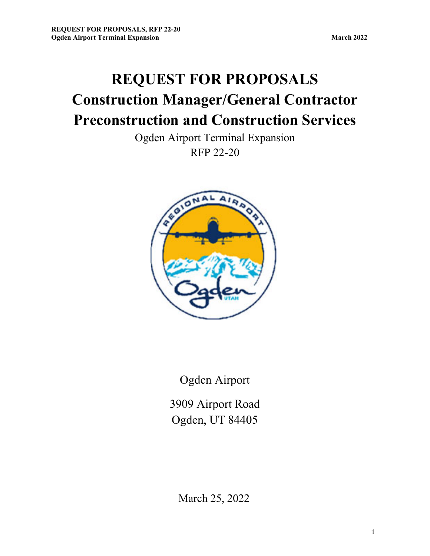**REQUEST FOR PROPOSALS Construction Manager/General Contractor Preconstruction and Construction Services** 

> Ogden Airport Terminal Expansion RFP 22-20



Ogden Airport

3909 Airport Road Ogden, UT 84405

March 25, 2022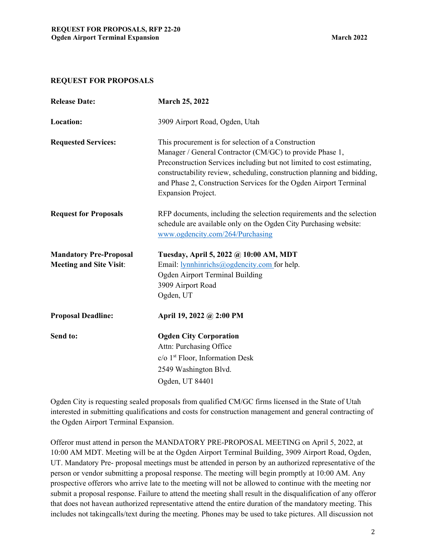### **REQUEST FOR PROPOSALS**

| <b>Release Date:</b>           | <b>March 25, 2022</b>                                                                                                                                                                                                                                                                                                                                                  |
|--------------------------------|------------------------------------------------------------------------------------------------------------------------------------------------------------------------------------------------------------------------------------------------------------------------------------------------------------------------------------------------------------------------|
| Location:                      | 3909 Airport Road, Ogden, Utah                                                                                                                                                                                                                                                                                                                                         |
| <b>Requested Services:</b>     | This procurement is for selection of a Construction<br>Manager / General Contractor (CM/GC) to provide Phase 1,<br>Preconstruction Services including but not limited to cost estimating,<br>constructability review, scheduling, construction planning and bidding,<br>and Phase 2, Construction Services for the Ogden Airport Terminal<br><b>Expansion Project.</b> |
| <b>Request for Proposals</b>   | RFP documents, including the selection requirements and the selection<br>schedule are available only on the Ogden City Purchasing website:<br>www.ogdencity.com/264/Purchasing                                                                                                                                                                                         |
| <b>Mandatory Pre-Proposal</b>  | Tuesday, April 5, 2022 @ 10:00 AM, MDT                                                                                                                                                                                                                                                                                                                                 |
| <b>Meeting and Site Visit:</b> | Email: lynnhinrichs@ogdencity.com for help.                                                                                                                                                                                                                                                                                                                            |
|                                | Ogden Airport Terminal Building                                                                                                                                                                                                                                                                                                                                        |
|                                | 3909 Airport Road                                                                                                                                                                                                                                                                                                                                                      |
|                                | Ogden, UT                                                                                                                                                                                                                                                                                                                                                              |
| <b>Proposal Deadline:</b>      | April 19, 2022 @ 2:00 PM                                                                                                                                                                                                                                                                                                                                               |
| Send to:                       | <b>Ogden City Corporation</b>                                                                                                                                                                                                                                                                                                                                          |
|                                | Attn: Purchasing Office                                                                                                                                                                                                                                                                                                                                                |
|                                | $c/o$ 1 <sup>st</sup> Floor, Information Desk                                                                                                                                                                                                                                                                                                                          |
|                                | 2549 Washington Blvd.                                                                                                                                                                                                                                                                                                                                                  |
|                                | Ogden, UT 84401                                                                                                                                                                                                                                                                                                                                                        |

Ogden City is requesting sealed proposals from qualified CM/GC firms licensed in the State of Utah interested in submitting qualifications and costs for construction management and general contracting of the Ogden Airport Terminal Expansion.

Offeror must attend in person the MANDATORY PRE-PROPOSAL MEETING on April 5, 2022, at 10:00 AM MDT. Meeting will be at the Ogden Airport Terminal Building, 3909 Airport Road, Ogden, UT. Mandatory Pre- proposal meetings must be attended in person by an authorized representative of the person or vendor submitting a proposal response. The meeting will begin promptly at 10:00 AM. Any prospective offerors who arrive late to the meeting will not be allowed to continue with the meeting nor submit a proposal response. Failure to attend the meeting shall result in the disqualification of any offeror that does not have an authorized representative attend the entire duration of the mandatory meeting. This includes not taking calls/text during the meeting. Phones may be used to take pictures. All discussion not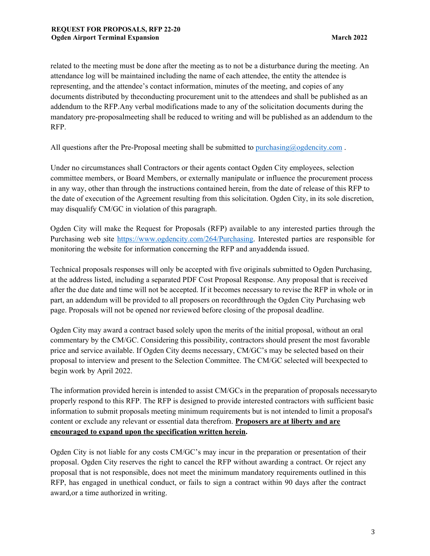related to the meeting must be done after the meeting as to not be a disturbance during the meeting. An attendance log will be maintained including the name of each attendee, the entity the attendee is representing, and the attendee's contact information, minutes of the meeting, and copies of any documents distributed by the conducting procurement unit to the attendees and shall be published as an addendum to the RFP. Any verbal modifications made to any of the solicitation documents during the mandatory pre-proposal meeting shall be reduced to writing and will be published as an addendum to the RFP.

All questions after the Pre-Proposal meeting shall be submitted to purchasing@ogdencity.com.

Under no circumstances shall Contractors or their agents contact Ogden City employees, selection committee members, or Board Members, or externally manipulate or influence the procurement process in any way, other than through the instructions contained herein, from the date of release of this RFP to the date of execution of the Agreement resulting from this solicitation. Ogden City, in its sole discretion, may disqualify CM/GC in violation of this paragraph.

Ogden City will make the Request for Proposals (RFP) available to any interested parties through the Purchasing web site https://www.ogdencity.com/264/Purchasing. Interested parties are responsible for monitoring the website for information concerning the RFP and any addenda issued.

Technical proposals responses will only be accepted with five originals submitted to Ogden Purchasing, at the address listed, including a separated PDF Cost Proposal Response. Any proposal that is received after the due date and time will not be accepted. If it becomes necessary to revise the RFP in whole or in part, an addendum will be provided to all proposers on record through the Ogden City Purchasing web page. Proposals will not be opened nor reviewed before closing of the proposal deadline.

Ogden City may award a contract based solely upon the merits of the initial proposal, without an oral commentary by the CM/GC. Considering this possibility, contractors should present the most favorable price and service available. If Ogden City deems necessary, CM/GC's may be selected based on their proposal to interview and present to the Selection Committee. The CM/GC selected will be expected to begin work by April 2022.

The information provided herein is intended to assist CM/GCs in the preparation of proposals necessary to properly respond to this RFP. The RFP is designed to provide interested contractors with sufficient basic information to submit proposals meeting minimum requirements but is not intended to limit a proposal's content or exclude any relevant or essential data therefrom. **Proposers are at liberty and are encouraged to expand upon the specification written herein.** 

Ogden City is not liable for any costs CM/GC's may incur in the preparation or presentation of their proposal. Ogden City reserves the right to cancel the RFP without awarding a contract. Or reject any proposal that is not responsible, does not meet the minimum mandatory requirements outlined in this RFP, has engaged in unethical conduct, or fails to sign a contract within 90 days after the contract award, or a time authorized in writing.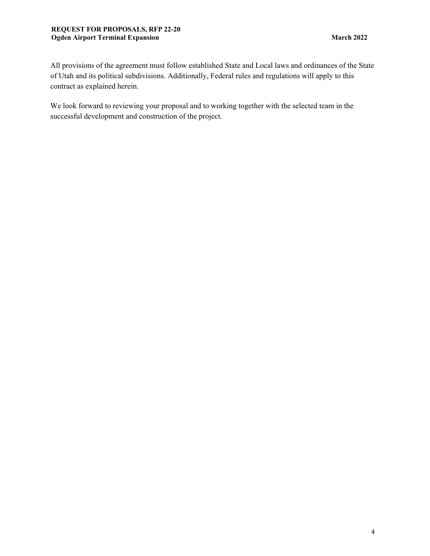All provisions of the agreement must follow established State and Local laws and ordinances of the State of Utah and its political subdivisions. Additionally, Federal rules and regulations will apply to this contract as explained herein.

We look forward to reviewing your proposal and to working together with the selected team in the successful development and construction of the project.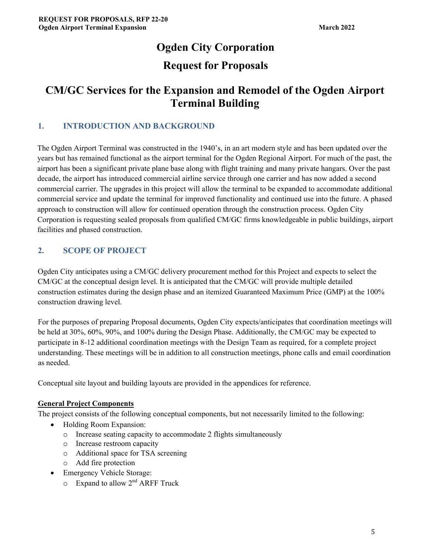# **Ogden City Corporation Request for Proposals**

# **CM/GC Services for the Expansion and Remodel of the Ogden Airport Terminal Building**

# **1. INTRODUCTION AND BACKGROUND**

The Ogden Airport Terminal was constructed in the 1940's, in an art modern style and has been updated over the years but has remained functional as the airport terminal for the Ogden Regional Airport. For much of the past, the airport has been a significant private plane base along with flight training and many private hangars. Over the past decade, the airport has introduced commercial airline service through one carrier and has now added a second commercial carrier. The upgrades in this project will allow the terminal to be expanded to accommodate additional commercial service and update the terminal for improved functionality and continued use into the future. A phased approach to construction will allow for continued operation through the construction process. Ogden City Corporation is requesting sealed proposals from qualified CM/GC firms knowledgeable in public buildings, airport facilities and phased construction.

# **2. SCOPE OF PROJECT**

Ogden City anticipates using a CM/GC delivery procurement method for this Project and expects to select the CM/GC at the conceptual design level. It is anticipated that the CM/GC will provide multiple detailed construction estimates during the design phase and an itemized Guaranteed Maximum Price (GMP) at the 100% construction drawing level.

For the purposes of preparing Proposal documents, Ogden City expects/anticipates that coordination meetings will be held at 30%, 60%, 90%, and 100% during the Design Phase. Additionally, the CM/GC may be expected to participate in 8-12 additional coordination meetings with the Design Team as required, for a complete project understanding. These meetings will be in addition to all construction meetings, phone calls and email coordination as needed.

Conceptual site layout and building layouts are provided in the appendices for reference.

## **General Project Components**

The project consists of the following conceptual components, but not necessarily limited to the following:

- Holding Room Expansion:
	- o Increase seating capacity to accommodate 2 flights simultaneously
	- o Increase restroom capacity
	- o Additional space for TSA screening
	- o Add fire protection
- Emergency Vehicle Storage:
	- $\circ$  Expand to allow  $2<sup>nd</sup>$  ARFF Truck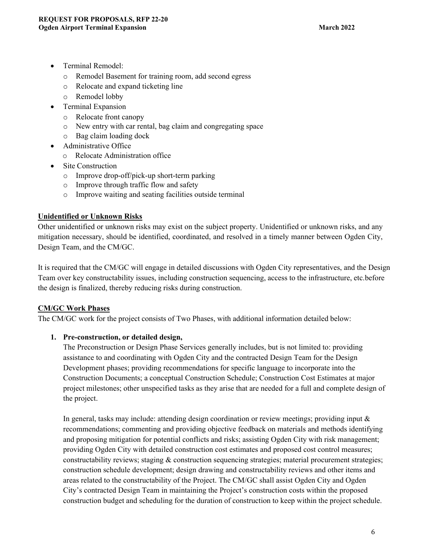- Terminal Remodel:
	- o Remodel Basement for training room, add second egress
	- o Relocate and expand ticketing line
	- o Remodel lobby
- Terminal Expansion
	- o Relocate front canopy
	- o New entry with car rental, bag claim and congregating space
	- o Bag claim loading dock
- Administrative Office
	- o Relocate Administration office
- Site Construction
	- o Improve drop-off/pick-up short-term parking
	- o Improve through traffic flow and safety
	- o Improve waiting and seating facilities outside terminal

## **Unidentified or Unknown Risks**

Other unidentified or unknown risks may exist on the subject property. Unidentified or unknown risks, and any mitigation necessary, should be identified, coordinated, and resolved in a timely manner between Ogden City, Design Team, and the CM/GC.

It is required that the CM/GC will engage in detailed discussions with Ogden City representatives, and the Design Team over key constructability issues, including construction sequencing, access to the infrastructure, etc. before the design is finalized, thereby reducing risks during construction.

### **CM/GC Work Phases**

The CM/GC work for the project consists of Two Phases, with additional information detailed below:

### **1. Pre-construction, or detailed design,**

The Preconstruction or Design Phase Services generally includes, but is not limited to: providing assistance to and coordinating with Ogden City and the contracted Design Team for the Design Development phases; providing recommendations for specific language to incorporate into the Construction Documents; a conceptual Construction Schedule; Construction Cost Estimates at major project milestones; other unspecified tasks as they arise that are needed for a full and complete design of the project.

In general, tasks may include: attending design coordination or review meetings; providing input  $\&$ recommendations; commenting and providing objective feedback on materials and methods identifying and proposing mitigation for potential conflicts and risks; assisting Ogden City with risk management; providing Ogden City with detailed construction cost estimates and proposed cost control measures; constructability reviews; staging & construction sequencing strategies; material procurement strategies; construction schedule development; design drawing and constructability reviews and other items and areas related to the constructability of the Project. The CM/GC shall assist Ogden City and Ogden City's contracted Design Team in maintaining the Project's construction costs within the proposed construction budget and scheduling for the duration of construction to keep within the project schedule.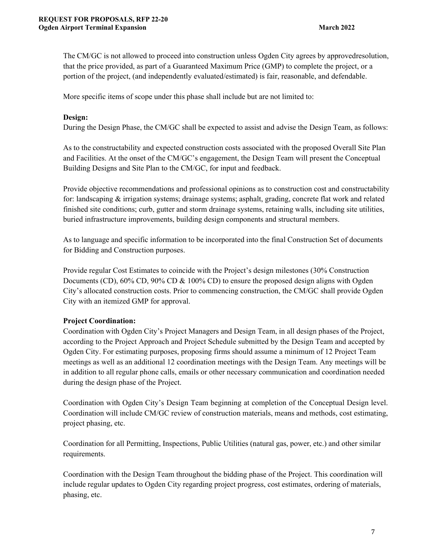The CM/GC is not allowed to proceed into construction unless Ogden City agrees by approved resolution, that the price provided, as part of a Guaranteed Maximum Price (GMP) to complete the project, or a portion of the project, (and independently evaluated/estimated) is fair, reasonable, and defendable.

More specific items of scope under this phase shall include but are not limited to:

### **Design:**

During the Design Phase, the CM/GC shall be expected to assist and advise the Design Team, as follows:

As to the constructability and expected construction costs associated with the proposed Overall Site Plan and Facilities. At the onset of the CM/GC's engagement, the Design Team will present the Conceptual Building Designs and Site Plan to the CM/GC, for input and feedback.

Provide objective recommendations and professional opinions as to construction cost and constructability for: landscaping & irrigation systems; drainage systems; asphalt, grading, concrete flat work and related finished site conditions; curb, gutter and storm drainage systems, retaining walls, including site utilities, buried infrastructure improvements, building design components and structural members.

As to language and specific information to be incorporated into the final Construction Set of documents for Bidding and Construction purposes.

Provide regular Cost Estimates to coincide with the Project's design milestones (30% Construction Documents (CD), 60% CD, 90% CD & 100% CD) to ensure the proposed design aligns with Ogden City's allocated construction costs. Prior to commencing construction, the CM/GC shall provide Ogden City with an itemized GMP for approval.

### **Project Coordination:**

Coordination with Ogden City's Project Managers and Design Team, in all design phases of the Project, according to the Project Approach and Project Schedule submitted by the Design Team and accepted by Ogden City. For estimating purposes, proposing firms should assume a minimum of 12 Project Team meetings as well as an additional 12 coordination meetings with the Design Team. Any meetings will be in addition to all regular phone calls, emails or other necessary communication and coordination needed during the design phase of the Project.

Coordination with Ogden City's Design Team beginning at completion of the Conceptual Design level. Coordination will include CM/GC review of construction materials, means and methods, cost estimating, project phasing, etc.

Coordination for all Permitting, Inspections, Public Utilities (natural gas, power, etc.) and other similar requirements.

Coordination with the Design Team throughout the bidding phase of the Project. This coordination will include regular updates to Ogden City regarding project progress, cost estimates, ordering of materials, phasing, etc.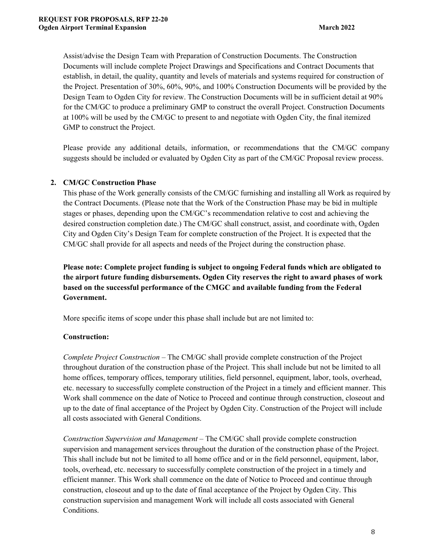Assist/advise the Design Team with Preparation of Construction Documents. The Construction Documents will include complete Project Drawings and Specifications and Contract Documents that establish, in detail, the quality, quantity and levels of materials and systems required for construction of the Project. Presentation of 30%, 60%, 90%, and 100% Construction Documents will be provided by the Design Team to Ogden City for review. The Construction Documents will be in sufficient detail at 90% for the CM/GC to produce a preliminary GMP to construct the overall Project. Construction Documents at 100% will be used by the CM/GC to present to and negotiate with Ogden City, the final itemized GMP to construct the Project.

Please provide any additional details, information, or recommendations that the CM/GC company suggests should be included or evaluated by Ogden City as part of the CM/GC Proposal review process.

## **2. CM/GC Construction Phase**

This phase of the Work generally consists of the CM/GC furnishing and installing all Work as required by the Contract Documents. (Please note that the Work of the Construction Phase may be bid in multiple stages or phases, depending upon the CM/GC's recommendation relative to cost and achieving the desired construction completion date.) The CM/GC shall construct, assist, and coordinate with, Ogden City and Ogden City's Design Team for complete construction of the Project. It is expected that the CM/GC shall provide for all aspects and needs of the Project during the construction phase.

**Please note: Complete project funding is subject to ongoing Federal funds which are obligated to the airport future funding disbursements. Ogden City reserves the right to award phases of work based on the successful performance of the CMGC and available funding from the Federal Government.** 

More specific items of scope under this phase shall include but are not limited to:

## **Construction:**

*Complete Project Construction –* The CM/GC shall provide complete construction of the Project throughout duration of the construction phase of the Project. This shall include but not be limited to all home offices, temporary offices, temporary utilities, field personnel, equipment, labor, tools, overhead, etc. necessary to successfully complete construction of the Project in a timely and efficient manner. This Work shall commence on the date of Notice to Proceed and continue through construction, closeout and up to the date of final acceptance of the Project by Ogden City. Construction of the Project will include all costs associated with General Conditions.

*Construction Supervision and Management –* The CM/GC shall provide complete construction supervision and management services throughout the duration of the construction phase of the Project. This shall include but not be limited to all home office and or in the field personnel, equipment, labor, tools, overhead, etc. necessary to successfully complete construction of the project in a timely and efficient manner. This Work shall commence on the date of Notice to Proceed and continue through construction, closeout and up to the date of final acceptance of the Project by Ogden City. This construction supervision and management Work will include all costs associated with General Conditions.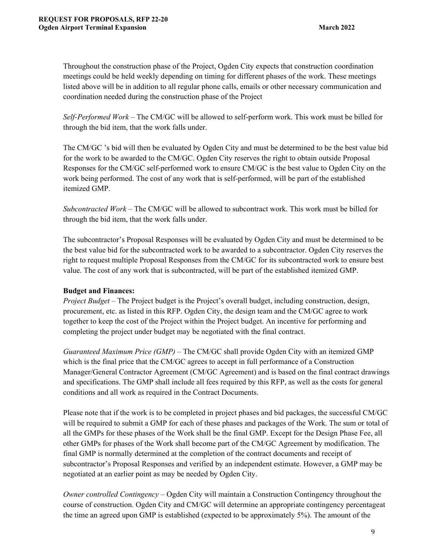Throughout the construction phase of the Project, Ogden City expects that construction coordination meetings could be held weekly depending on timing for different phases of the work. These meetings listed above will be in addition to all regular phone calls, emails or other necessary communication and coordination needed during the construction phase of the Project

*Self-Performed Work –* The CM/GC will be allowed to self-perform work. This work must be billed for through the bid item, that the work falls under.

The CM/GC 's bid will then be evaluated by Ogden City and must be determined to be the best value bid for the work to be awarded to the CM/GC. Ogden City reserves the right to obtain outside Proposal Responses for the CM/GC self-performed work to ensure CM/GC is the best value to Ogden City on the work being performed. The cost of any work that is self-performed, will be part of the established itemized GMP.

*Subcontracted Work –* The CM/GC will be allowed to subcontract work. This work must be billed for through the bid item, that the work falls under.

The subcontractor's Proposal Responses will be evaluated by Ogden City and must be determined to be the best value bid for the subcontracted work to be awarded to a subcontractor. Ogden City reserves the right to request multiple Proposal Responses from the CM/GC for its subcontracted work to ensure best value. The cost of any work that is subcontracted, will be part of the established itemized GMP.

### **Budget and Finances:**

*Project Budget –* The Project budget is the Project's overall budget, including construction, design, procurement, etc. as listed in this RFP. Ogden City, the design team and the CM/GC agree to work together to keep the cost of the Project within the Project budget. An incentive for performing and completing the project under budget may be negotiated with the final contract.

*Guaranteed Maximum Price (GMP)* – The CM/GC shall provide Ogden City with an itemized GMP which is the final price that the CM/GC agrees to accept in full performance of a Construction Manager/General Contractor Agreement (CM/GC Agreement) and is based on the final contract drawings and specifications. The GMP shall include all fees required by this RFP, as well as the costs for general conditions and all work as required in the Contract Documents.

Please note that if the work is to be completed in project phases and bid packages, the successful CM/GC will be required to submit a GMP for each of these phases and packages of the Work. The sum or total of all the GMPs for these phases of the Work shall be the final GMP. Except for the Design Phase Fee, all other GMPs for phases of the Work shall become part of the CM/GC Agreement by modification. The final GMP is normally determined at the completion of the contract documents and receipt of subcontractor's Proposal Responses and verified by an independent estimate. However, a GMP may be negotiated at an earlier point as may be needed by Ogden City.

*Owner controlled Contingency –* Ogden City will maintain a Construction Contingency throughout the course of construction. Ogden City and CM/GC will determine an appropriate contingency percentage at the time an agreed upon GMP is established (expected to be approximately 5%). The amount of the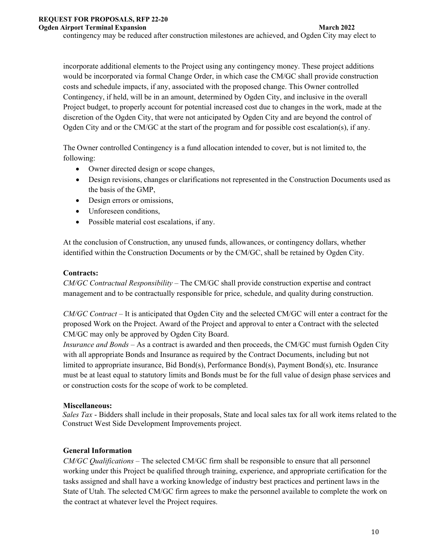#### **Ogden Airport Terminal Expansion March 2022** March 2022

contingency may be reduced after construction milestones are achieved, and Ogden City may elect to

incorporate additional elements to the Project using any contingency money. These project additions would be incorporated via formal Change Order, in which case the CM/GC shall provide construction costs and schedule impacts, if any, associated with the proposed change. This Owner controlled Contingency, if held, will be in an amount, determined by Ogden City, and inclusive in the overall Project budget, to properly account for potential increased cost due to changes in the work, made at the discretion of the Ogden City, that were not anticipated by Ogden City and are beyond the control of Ogden City and or the CM/GC at the start of the program and for possible cost escalation(s), if any.

The Owner controlled Contingency is a fund allocation intended to cover, but is not limited to, the following:

- Owner directed design or scope changes,
- Design revisions, changes or clarifications not represented in the Construction Documents used as the basis of the GMP,
- Design errors or omissions,
- Unforeseen conditions,
- Possible material cost escalations, if any.

At the conclusion of Construction, any unused funds, allowances, or contingency dollars, whether identified within the Construction Documents or by the CM/GC, shall be retained by Ogden City.

### **Contracts:**

*CM/GC Contractual Responsibility –* The CM/GC shall provide construction expertise and contract management and to be contractually responsible for price, schedule, and quality during construction.

*CM/GC Contract –* It is anticipated that Ogden City and the selected CM/GC will enter a contract for the proposed Work on the Project. Award of the Project and approval to enter a Contract with the selected CM/GC may only be approved by Ogden City Board.

*Insurance and Bonds –* As a contract is awarded and then proceeds, the CM/GC must furnish Ogden City with all appropriate Bonds and Insurance as required by the Contract Documents, including but not limited to appropriate insurance, Bid Bond(s), Performance Bond(s), Payment Bond(s), etc. Insurance must be at least equal to statutory limits and Bonds must be for the full value of design phase services and or construction costs for the scope of work to be completed.

### **Miscellaneous:**

*Sales Tax* - Bidders shall include in their proposals, State and local sales tax for all work items related to the Construct West Side Development Improvements project.

## **General Information**

*CM/GC Qualifications –* The selected CM/GC firm shall be responsible to ensure that all personnel working under this Project be qualified through training, experience, and appropriate certification for the tasks assigned and shall have a working knowledge of industry best practices and pertinent laws in the State of Utah. The selected CM/GC firm agrees to make the personnel available to complete the work on the contract at whatever level the Project requires.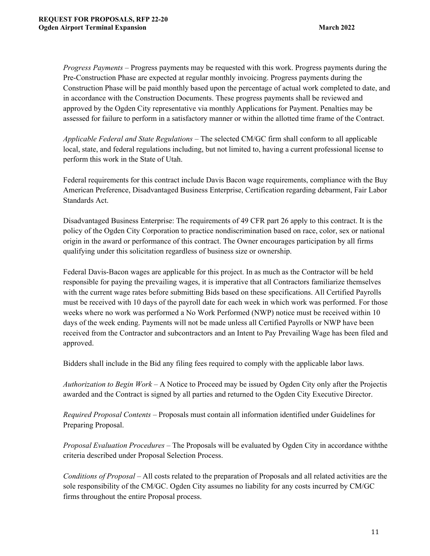*Progress Payments –* Progress payments may be requested with this work. Progress payments during the Pre-Construction Phase are expected at regular monthly invoicing. Progress payments during the Construction Phase will be paid monthly based upon the percentage of actual work completed to date, and in accordance with the Construction Documents. These progress payments shall be reviewed and approved by the Ogden City representative via monthly Applications for Payment. Penalties may be assessed for failure to perform in a satisfactory manner or within the allotted time frame of the Contract.

*Applicable Federal and State Regulations –* The selected CM/GC firm shall conform to all applicable local, state, and federal regulations including, but not limited to, having a current professional license to perform this work in the State of Utah.

Federal requirements for this contract include Davis Bacon wage requirements, compliance with the Buy American Preference, Disadvantaged Business Enterprise, Certification regarding debarment, Fair Labor Standards Act.

Disadvantaged Business Enterprise: The requirements of 49 CFR part 26 apply to this contract. It is the policy of the Ogden City Corporation to practice nondiscrimination based on race, color, sex or national origin in the award or performance of this contract. The Owner encourages participation by all firms qualifying under this solicitation regardless of business size or ownership.

Federal Davis-Bacon wages are applicable for this project. In as much as the Contractor will be held responsible for paying the prevailing wages, it is imperative that all Contractors familiarize themselves with the current wage rates before submitting Bids based on these specifications. All Certified Payrolls must be received with 10 days of the payroll date for each week in which work was performed. For those weeks where no work was performed a No Work Performed (NWP) notice must be received within 10 days of the week ending. Payments will not be made unless all Certified Payrolls or NWP have been received from the Contractor and subcontractors and an Intent to Pay Prevailing Wage has been filed and approved.

Bidders shall include in the Bid any filing fees required to comply with the applicable labor laws.

*Authorization to Begin Work* – A Notice to Proceed may be issued by Ogden City only after the Projectis awarded and the Contract is signed by all parties and returned to the Ogden City Executive Director.

*Required Proposal Contents –* Proposals must contain all information identified under Guidelines for Preparing Proposal.

*Proposal Evaluation Procedures –* The Proposals will be evaluated by Ogden City in accordance with the criteria described under Proposal Selection Process.

*Conditions of Proposal –* All costs related to the preparation of Proposals and all related activities are the sole responsibility of the CM/GC. Ogden City assumes no liability for any costs incurred by CM/GC firms throughout the entire Proposal process.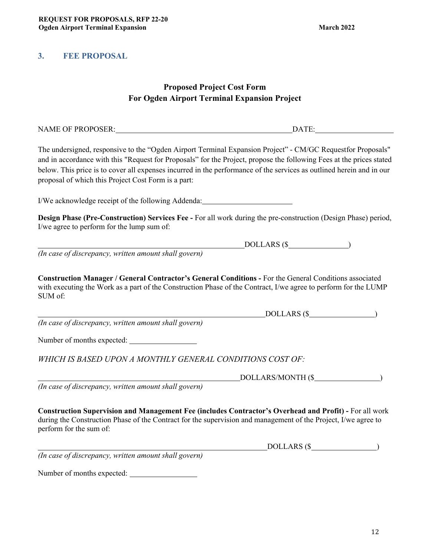# **3. FEE PROPOSAL**

# **Proposed Project Cost Form For Ogden Airport Terminal Expansion Project**

| NAME OF PROPOSER: DATE: DATE:                                                                                                                                                                                                                                                                                                                                                                                      |                   |
|--------------------------------------------------------------------------------------------------------------------------------------------------------------------------------------------------------------------------------------------------------------------------------------------------------------------------------------------------------------------------------------------------------------------|-------------------|
| The undersigned, responsive to the "Ogden Airport Terminal Expansion Project" - CM/GC Requestfor Proposals"<br>and in accordance with this "Request for Proposals" for the Project, propose the following Fees at the prices stated<br>below. This price is to cover all expenses incurred in the performance of the services as outlined herein and in our<br>proposal of which this Project Cost Form is a part: |                   |
| I/We acknowledge receipt of the following Addenda: _____________________________                                                                                                                                                                                                                                                                                                                                   |                   |
| Design Phase (Pre-Construction) Services Fee - For all work during the pre-construction (Design Phase) period,<br>I/we agree to perform for the lump sum of:                                                                                                                                                                                                                                                       |                   |
|                                                                                                                                                                                                                                                                                                                                                                                                                    | $DOLLARS$ (\$     |
| (In case of discrepancy, written amount shall govern)                                                                                                                                                                                                                                                                                                                                                              |                   |
| Construction Manager / General Contractor's General Conditions - For the General Conditions associated<br>with executing the Work as a part of the Construction Phase of the Contract, I/we agree to perform for the LUMP<br>SUM of:                                                                                                                                                                               | DOLLARS (\$       |
| (In case of discrepancy, written amount shall govern)                                                                                                                                                                                                                                                                                                                                                              |                   |
| Number of months expected:                                                                                                                                                                                                                                                                                                                                                                                         |                   |
| WHICH IS BASED UPON A MONTHLY GENERAL CONDITIONS COST OF:                                                                                                                                                                                                                                                                                                                                                          |                   |
|                                                                                                                                                                                                                                                                                                                                                                                                                    | DOLLARS/MONTH (\$ |
| (In case of discrepancy, written amount shall govern)                                                                                                                                                                                                                                                                                                                                                              |                   |
| Construction Supervision and Management Fee (includes Contractor's Overhead and Profit) - For all work<br>during the Construction Phase of the Contract for the supervision and management of the Project, I/we agree to<br>perform for the sum of:                                                                                                                                                                |                   |
|                                                                                                                                                                                                                                                                                                                                                                                                                    | $DOLLARS$ ( $\$$  |
| (In case of discrepancy, written amount shall govern)                                                                                                                                                                                                                                                                                                                                                              |                   |
|                                                                                                                                                                                                                                                                                                                                                                                                                    |                   |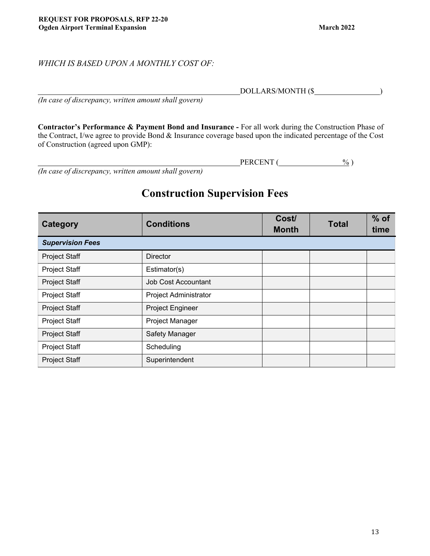## *WHICH IS BASED UPON A MONTHLY COST OF:*

*(In case of discrepancy, written amount shall govern)* 

**Contractor's Performance & Payment Bond and Insurance -** For all work during the Construction Phase of the Contract, I/we agree to provide Bond & Insurance coverage based upon the indicated percentage of the Cost of Construction (agreed upon GMP):

PERCENT (30) *(In case of discrepancy, written amount shall govern)* 

# **Construction Supervision Fees**

| Category                | <b>Conditions</b>            | Cost/<br><b>Month</b> | <b>Total</b> | $%$ of<br>time |
|-------------------------|------------------------------|-----------------------|--------------|----------------|
| <b>Supervision Fees</b> |                              |                       |              |                |
| <b>Project Staff</b>    | <b>Director</b>              |                       |              |                |
| <b>Project Staff</b>    | Estimator(s)                 |                       |              |                |
| <b>Project Staff</b>    | <b>Job Cost Accountant</b>   |                       |              |                |
| <b>Project Staff</b>    | <b>Project Administrator</b> |                       |              |                |
| <b>Project Staff</b>    | Project Engineer             |                       |              |                |
| Project Staff           | Project Manager              |                       |              |                |
| <b>Project Staff</b>    | Safety Manager               |                       |              |                |
| <b>Project Staff</b>    | Scheduling                   |                       |              |                |
| <b>Project Staff</b>    | Superintendent               |                       |              |                |

DOLLARS/MONTH (\$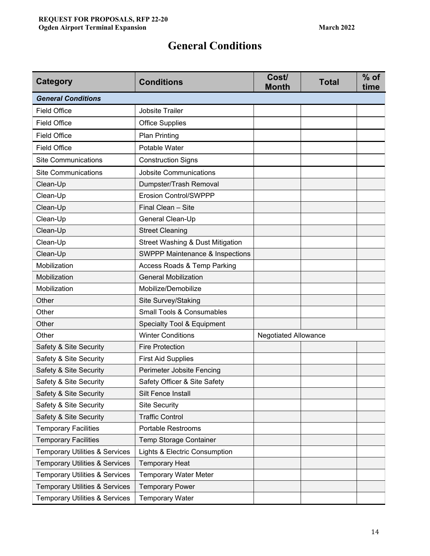# **General Conditions**

| <b>Category</b>                           | <b>Conditions</b>                           | Cost/<br><b>Month</b>       | <b>Total</b> | $%$ of<br>time |
|-------------------------------------------|---------------------------------------------|-----------------------------|--------------|----------------|
| <b>General Conditions</b>                 |                                             |                             |              |                |
| <b>Field Office</b>                       | <b>Jobsite Trailer</b>                      |                             |              |                |
| <b>Field Office</b>                       | <b>Office Supplies</b>                      |                             |              |                |
| <b>Field Office</b>                       | <b>Plan Printing</b>                        |                             |              |                |
| <b>Field Office</b>                       | Potable Water                               |                             |              |                |
| <b>Site Communications</b>                | <b>Construction Signs</b>                   |                             |              |                |
| <b>Site Communications</b>                | <b>Jobsite Communications</b>               |                             |              |                |
| Clean-Up                                  | Dumpster/Trash Removal                      |                             |              |                |
| Clean-Up                                  | <b>Erosion Control/SWPPP</b>                |                             |              |                |
| Clean-Up                                  | Final Clean - Site                          |                             |              |                |
| Clean-Up                                  | General Clean-Up                            |                             |              |                |
| Clean-Up                                  | <b>Street Cleaning</b>                      |                             |              |                |
| Clean-Up                                  | <b>Street Washing &amp; Dust Mitigation</b> |                             |              |                |
| Clean-Up                                  | <b>SWPPP Maintenance &amp; Inspections</b>  |                             |              |                |
| Mobilization                              | <b>Access Roads &amp; Temp Parking</b>      |                             |              |                |
| Mobilization                              | <b>General Mobilization</b>                 |                             |              |                |
| Mobilization                              | Mobilize/Demobilize                         |                             |              |                |
| Other                                     | Site Survey/Staking                         |                             |              |                |
| Other                                     | <b>Small Tools &amp; Consumables</b>        |                             |              |                |
| Other                                     | <b>Specialty Tool &amp; Equipment</b>       |                             |              |                |
| Other                                     | <b>Winter Conditions</b>                    | <b>Negotiated Allowance</b> |              |                |
| Safety & Site Security                    | <b>Fire Protection</b>                      |                             |              |                |
| Safety & Site Security                    | <b>First Aid Supplies</b>                   |                             |              |                |
| Safety & Site Security                    | Perimeter Jobsite Fencing                   |                             |              |                |
| Safety & Site Security                    | Safety Officer & Site Safety                |                             |              |                |
| Safety & Site Security                    | Silt Fence Install                          |                             |              |                |
| Safety & Site Security                    | <b>Site Security</b>                        |                             |              |                |
| Safety & Site Security                    | <b>Traffic Control</b>                      |                             |              |                |
| <b>Temporary Facilities</b>               | <b>Portable Restrooms</b>                   |                             |              |                |
| <b>Temporary Facilities</b>               | Temp Storage Container                      |                             |              |                |
| <b>Temporary Utilities &amp; Services</b> | Lights & Electric Consumption               |                             |              |                |
| <b>Temporary Utilities &amp; Services</b> | <b>Temporary Heat</b>                       |                             |              |                |
| <b>Temporary Utilities &amp; Services</b> | <b>Temporary Water Meter</b>                |                             |              |                |
| <b>Temporary Utilities &amp; Services</b> | <b>Temporary Power</b>                      |                             |              |                |
| <b>Temporary Utilities &amp; Services</b> | <b>Temporary Water</b>                      |                             |              |                |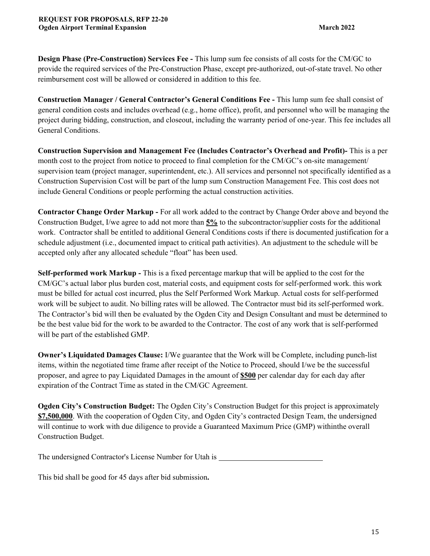**Design Phase (Pre-Construction) Services Fee -** This lump sum fee consists of all costs for the CM/GC to provide the required services of the Pre-Construction Phase, except pre-authorized, out-of-state travel. No other reimbursement cost will be allowed or considered in addition to this fee.

**Construction Manager / General Contractor's General Conditions Fee -** This lump sum fee shall consist of general condition costs and includes overhead (e.g., home office), profit, and personnel who will be managing the project during bidding, construction, and closeout, including the warranty period of one-year. This fee includes all General Conditions.

**Construction Supervision and Management Fee (Includes Contractor's Overhead and Profit)-** This is a per month cost to the project from notice to proceed to final completion for the CM/GC's on-site management/ supervision team (project manager, superintendent, etc.). All services and personnel not specifically identified as a Construction Supervision Cost will be part of the lump sum Construction Management Fee. This cost does not include General Conditions or people performing the actual construction activities.

**Contractor Change Order Markup -** For all work added to the contract by Change Order above and beyond the Construction Budget, I/we agree to add not more than **5%** to the subcontractor/supplier costs for the additional work. Contractor shall be entitled to additional General Conditions costs if there is documented justification for a schedule adjustment (i.e., documented impact to critical path activities). An adjustment to the schedule will be accepted only after any allocated schedule "float" has been used.

**Self-performed work Markup -** This is a fixed percentage markup that will be applied to the cost for the CM/GC's actual labor plus burden cost, material costs, and equipment costs for self-performed work. this work must be billed for actual cost incurred, plus the Self Performed Work Markup. Actual costs for self-performed work will be subject to audit. No billing rates will be allowed. The Contractor must bid its self-performed work. The Contractor's bid will then be evaluated by the Ogden City and Design Consultant and must be determined to be the best value bid for the work to be awarded to the Contractor. The cost of any work that is self-performed will be part of the established GMP.

**Owner's Liquidated Damages Clause:** I/We guarantee that the Work will be Complete, including punch-list items, within the negotiated time frame after receipt of the Notice to Proceed, should I/we be the successful proposer, and agree to pay Liquidated Damages in the amount of **\$500** per calendar day for each day after expiration of the Contract Time as stated in the CM/GC Agreement.

**Ogden City's Construction Budget:** The Ogden City's Construction Budget for this project is approximately **\$7,500,000**. With the cooperation of Ogden City, and Ogden City's contracted Design Team, the undersigned will continue to work with due diligence to provide a Guaranteed Maximum Price (GMP) within the overall Construction Budget.

The undersigned Contractor's License Number for Utah is

This bid shall be good for 45 days after bid submission**.**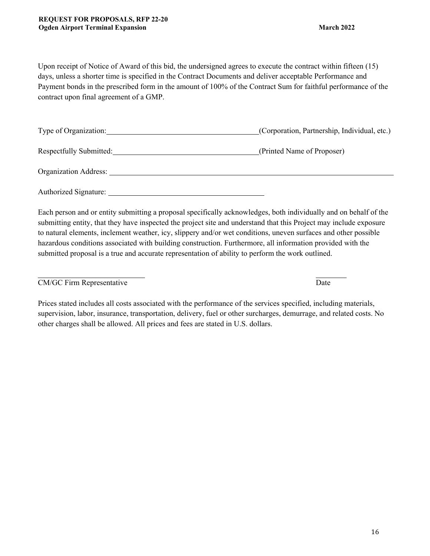Upon receipt of Notice of Award of this bid, the undersigned agrees to execute the contract within fifteen (15) days, unless a shorter time is specified in the Contract Documents and deliver acceptable Performance and Payment bonds in the prescribed form in the amount of 100% of the Contract Sum for faithful performance of the contract upon final agreement of a GMP.

| Type of Organization:   | (Corporation, Partnership, Individual, etc.) |
|-------------------------|----------------------------------------------|
| Respectfully Submitted: | (Printed Name of Proposer)                   |
| Organization Address:   |                                              |

Authorized Signature:

Each person and or entity submitting a proposal specifically acknowledges, both individually and on behalf of the submitting entity, that they have inspected the project site and understand that this Project may include exposure to natural elements, inclement weather, icy, slippery and/or wet conditions, uneven surfaces and other possible hazardous conditions associated with building construction. Furthermore, all information provided with the submitted proposal is a true and accurate representation of ability to perform the work outlined.

### CM/GC Firm Representative Date

Prices stated includes all costs associated with the performance of the services specified, including materials, supervision, labor, insurance, transportation, delivery, fuel or other surcharges, demurrage, and related costs. No other charges shall be allowed. All prices and fees are stated in U.S. dollars.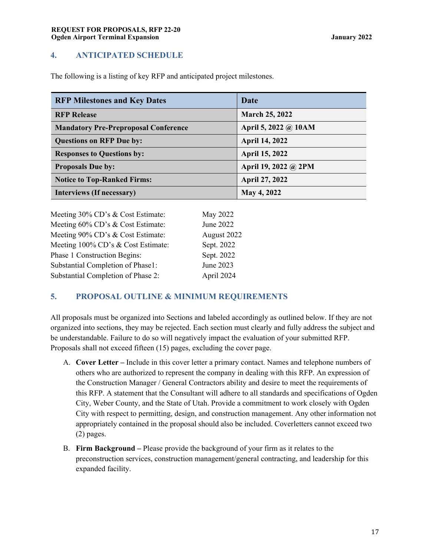## **4. ANTICIPATED SCHEDULE**

The following is a listing of key RFP and anticipated project milestones.

| <b>RFP Milestones and Key Dates</b>         | Date                  |
|---------------------------------------------|-----------------------|
| <b>RFP Release</b>                          | <b>March 25, 2022</b> |
| <b>Mandatory Pre-Preproposal Conference</b> | April 5, 2022 @ 10AM  |
| <b>Questions on RFP Due by:</b>             | <b>April 14, 2022</b> |
| <b>Responses to Questions by:</b>           | April 15, 2022        |
| <b>Proposals Due by:</b>                    | April 19, 2022 @ 2PM  |
| <b>Notice to Top-Ranked Firms:</b>          | <b>April 27, 2022</b> |
| Interviews (If necessary)                   | <b>May 4, 2022</b>    |

| Meeting 30% CD's & Cost Estimate:  | May 2022    |
|------------------------------------|-------------|
| Meeting 60% CD's & Cost Estimate:  | June 2022   |
| Meeting 90% CD's & Cost Estimate:  | August 2022 |
| Meeting 100% CD's & Cost Estimate: | Sept. 2022  |
| Phase 1 Construction Begins:       | Sept. 2022  |
| Substantial Completion of Phase1:  | June 2023   |
| Substantial Completion of Phase 2: | April 2024  |

## **5. PROPOSAL OUTLINE & MINIMUM REQUIREMENTS**

All proposals must be organized into Sections and labeled accordingly as outlined below. If they are not organized into sections, they may be rejected. Each section must clearly and fully address the subject and be understandable. Failure to do so will negatively impact the evaluation of your submitted RFP. Proposals shall not exceed fifteen (15) pages, excluding the cover page.

- A. **Cover Letter** Include in this cover letter a primary contact. Names and telephone numbers of others who are authorized to represent the company in dealing with this RFP. An expression of the Construction Manager / General Contractors ability and desire to meet the requirements of this RFP. A statement that the Consultant will adhere to all standards and specifications of Ogden City, Weber County, and the State of Utah. Provide a commitment to work closely with Ogden City with respect to permitting, design, and construction management. Any other information not appropriately contained in the proposal should also be included. Coverletters cannot exceed two (2) pages.
- B. **Firm Background** Please provide the background of your firm as it relates to the preconstruction services, construction management/general contracting, and leadership for this expanded facility.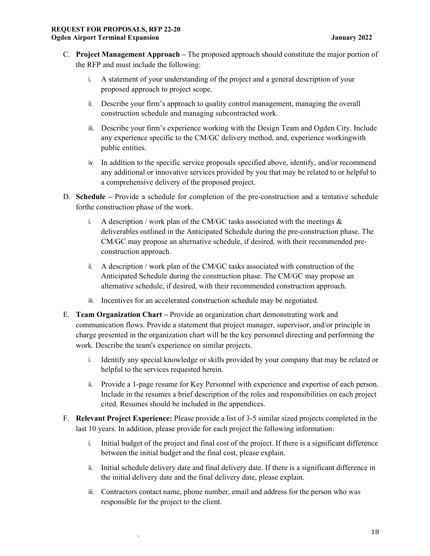- C. **Project Management Approach** The proposed approach should constitute the major portion of the RFP and must include the following:
	- i. A statement of your understanding of the project and a general description of your proposed approach to project scope.
	- ii. Describe your firm's approach to quality control management, managing the overall construction schedule and managing subcontracted work.
	- iii. Describe your firm's experience working with the Design Team and Ogden City. Include any experience specific to the CM/GC delivery method, and, experience working with public entities.
	- iv. In addition to the specific service proposals specified above, identify, and/or recommend any additional or innovative services provided by you that may be related to or helpful to a comprehensive delivery of the proposed project.
- D. **Schedule** Provide a schedule for completion of the pre-construction and a tentative schedule for the construction phase of the work.
	- i. A description / work plan of the CM/GC tasks associated with the meetings  $\&$ deliverables outlined in the Anticipated Schedule during the pre-construction phase. The CM/GC may propose an alternative schedule, if desired, with their recommended preconstruction approach.
	- ii. A description / work plan of the CM/GC tasks associated with construction of the Anticipated Schedule during the construction phase. The CM/GC may propose an alternative schedule, if desired, with their recommended construction approach.
	- iii. Incentives for an accelerated construction schedule may be negotiated.
- E. **Team Organization Chart** Provide an organization chart demonstrating work and communication flows. Provide a statement that project manager, supervisor, and/or principle in charge presented in the organization chart will be the key personnel directing and performing the work. Describe the team's experience on similar projects.
	- i. Identify any special knowledge or skills provided by your company that may be related or helpful to the services requested herein.
	- ii. Provide a 1-page resume for Key Personnel with experience and expertise of each person. Include in the resumes a brief description of the roles and responsibilities on each project cited. Resumes should be included in the appendices.
- F. **Relevant Project Experience:** Please provide a list of 3-5 similar sized projects completed in the last 10 years. In addition, please provide for each project the following information:
	- i. Initial budget of the project and final cost of the project. If there is a significant difference between the initial budget and the final cost, please explain.
	- ii. Initial schedule delivery date and final delivery date. If there is a significant difference in the initial delivery date and the final delivery date, please explain.
	- iii. Contractors contact name, phone number, email and address for the person who was responsible for the project to the client.

`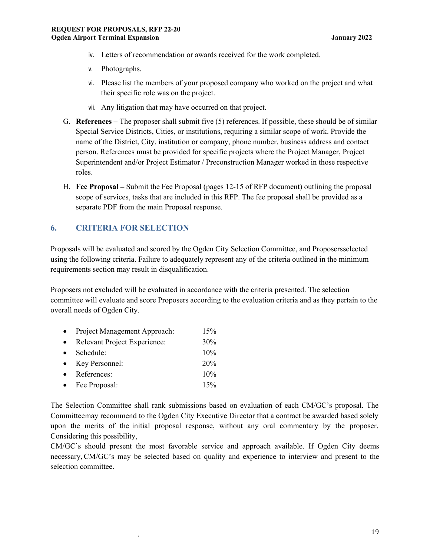- iv. Letters of recommendation or awards received for the work completed.
- v. Photographs.
- vi. Please list the members of your proposed company who worked on the project and what their specific role was on the project.
- vii. Any litigation that may have occurred on that project.
- G. **References** The proposer shall submit five (5) references. If possible, these should be of similar Special Service Districts, Cities, or institutions, requiring a similar scope of work. Provide the name of the District, City, institution or company, phone number, business address and contact person. References must be provided for specific projects where the Project Manager, Project Superintendent and/or Project Estimator / Preconstruction Manager worked in those respective roles.
- H. **Fee Proposal** Submit the Fee Proposal (pages 12-15 of RFP document) outlining the proposal scope of services, tasks that are included in this RFP. The fee proposal shall be provided as a separate PDF from the main Proposal response.

## **6. CRITERIA FOR SELECTION**

Proposals will be evaluated and scored by the Ogden City Selection Committee, and Proposers selected using the following criteria. Failure to adequately represent any of the criteria outlined in the minimum requirements section may result in disqualification.

Proposers not excluded will be evaluated in accordance with the criteria presented. The selection committee will evaluate and score Proposers according to the evaluation criteria and as they pertain to the overall needs of Ogden City.

| $\bullet$ | Project Management Approach: | 15% |
|-----------|------------------------------|-----|
| $\bullet$ | Relevant Project Experience: | 30% |
| $\bullet$ | Schedule:                    | 10% |
| $\bullet$ | Key Personnel:               | 20% |
| $\bullet$ | References:                  | 10% |
|           | • Fee Proposal:              | 15% |

`

The Selection Committee shall rank submissions based on evaluation of each CM/GC's proposal. The Committee may recommend to the Ogden City Executive Director that a contract be awarded based solely upon the merits of the initial proposal response, without any oral commentary by the proposer. Considering this possibility,

CM/GC's should present the most favorable service and approach available. If Ogden City deems necessary, CM/GC's may be selected based on quality and experience to interview and present to the selection committee.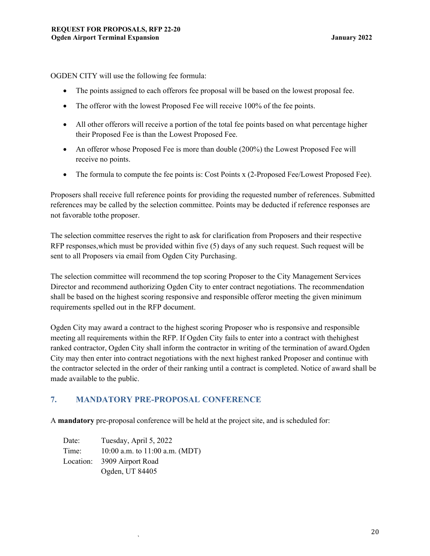OGDEN CITY will use the following fee formula:

- The points assigned to each offerors fee proposal will be based on the lowest proposal fee.
- The offeror with the lowest Proposed Fee will receive 100% of the fee points.
- All other offerors will receive a portion of the total fee points based on what percentage higher their Proposed Fee is than the Lowest Proposed Fee.
- An offeror whose Proposed Fee is more than double (200%) the Lowest Proposed Fee will receive no points.
- The formula to compute the fee points is: Cost Points x (2-Proposed Fee/Lowest Proposed Fee).

Proposers shall receive full reference points for providing the requested number of references. Submitted references may be called by the selection committee. Points may be deducted if reference responses are not favorable to the proposer.

The selection committee reserves the right to ask for clarification from Proposers and their respective RFP responses, which must be provided within five (5) days of any such request. Such request will be sent to all Proposers via email from Ogden City Purchasing.

The selection committee will recommend the top scoring Proposer to the City Management Services Director and recommend authorizing Ogden City to enter contract negotiations. The recommendation shall be based on the highest scoring responsive and responsible offeror meeting the given minimum requirements spelled out in the RFP document.

Ogden City may award a contract to the highest scoring Proposer who is responsive and responsible meeting all requirements within the RFP. If Ogden City fails to enter into a contract with the highest ranked contractor, Ogden City shall inform the contractor in writing of the termination of award. Ogden City may then enter into contract negotiations with the next highest ranked Proposer and continue with the contractor selected in the order of their ranking until a contract is completed. Notice of award shall be made available to the public.

## **7. MANDATORY PRE-PROPOSAL CONFERENCE**

A **mandatory** pre-proposal conference will be held at the project site, and is scheduled for:

Date: Tuesday, April 5, 2022 Time: 10:00 a.m. to 11:00 a.m. (MDT) Location: 3909 Airport Road Ogden, UT 84405

`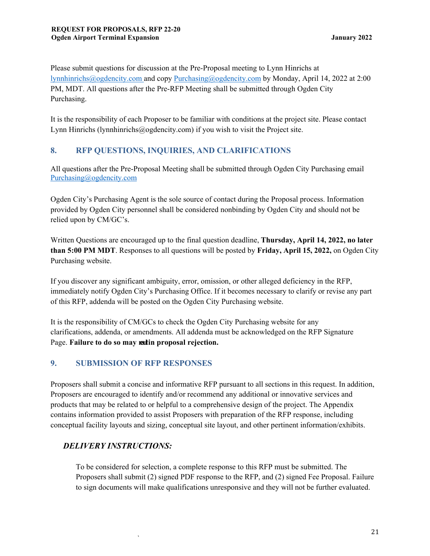Please submit questions for discussion at the Pre-Proposal meeting to Lynn Hinrichs at lynnhinrichs@ogdencity.com and copy Purchasing@ogdencity.com by Monday, April 14, 2022 at 2:00 PM, MDT. All questions after the Pre-RFP Meeting shall be submitted through Ogden City Purchasing.

It is the responsibility of each Proposer to be familiar with conditions at the project site. Please contact Lynn Hinrichs (lynnhinrichs@ogdencity.com) if you wish to visit the Project site.

# **8. RFP QUESTIONS, INQUIRIES, AND CLARIFICATIONS**

All questions after the Pre-Proposal Meeting shall be submitted through Ogden City Purchasing email Purchasing@ogdencity.com

Ogden City's Purchasing Agent is the sole source of contact during the Proposal process. Information provided by Ogden City personnel shall be considered nonbinding by Ogden City and should not be relied upon by CM/GC's.

Written Questions are encouraged up to the final question deadline, **Thursday, April 14, 2022, no later than 5:00 PM MDT**. Responses to all questions will be posted by **Friday, April 15, 2022,** on Ogden City Purchasing website.

If you discover any significant ambiguity, error, omission, or other alleged deficiency in the RFP, immediately notify Ogden City's Purchasing Office. If it becomes necessary to clarify or revise any part of this RFP, addenda will be posted on the Ogden City Purchasing website.

It is the responsibility of CM/GCs to check the Ogden City Purchasing website for any clarifications, addenda, or amendments. All addenda must be acknowledged on the RFP Signature Page. **Failure to do so may ratin proposal rejection.** 

## **9. SUBMISSION OF RFP RESPONSES**

Proposers shall submit a concise and informative RFP pursuant to all sections in this request. In addition, Proposers are encouraged to identify and/or recommend any additional or innovative services and products that may be related to or helpful to a comprehensive design of the project. The Appendix contains information provided to assist Proposers with preparation of the RFP response, including conceptual facility layouts and sizing, conceptual site layout, and other pertinent information/exhibits.

# *DELIVERY INSTRUCTIONS:*

`

To be considered for selection, a complete response to this RFP must be submitted. The Proposers shall submit (2) signed PDF response to the RFP, and (2) signed Fee Proposal. Failure to sign documents will make qualifications unresponsive and they will not be further evaluated.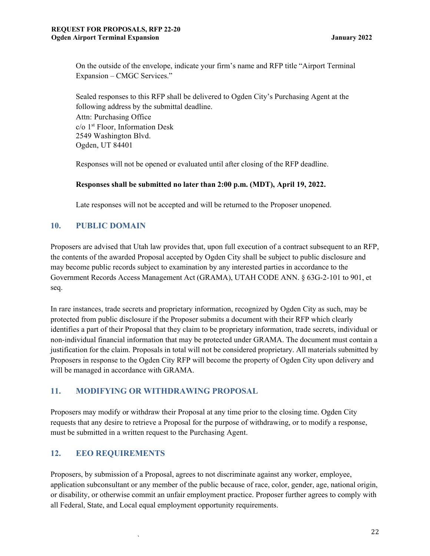On the outside of the envelope, indicate your firm's name and RFP title "Airport Terminal Expansion – CMGC Services."

Sealed responses to this RFP shall be delivered to Ogden City's Purchasing Agent at the following address by the submittal deadline. Attn: Purchasing Office  $c/o$  1<sup>st</sup> Floor, Information Desk 2549 Washington Blvd. Ogden, UT 84401

Responses will not be opened or evaluated until after closing of the RFP deadline.

#### **Responses shall be submitted no later than 2:00 p.m. (MDT), April 19, 2022.**

Late responses will not be accepted and will be returned to the Proposer unopened.

## **10. PUBLIC DOMAIN**

Proposers are advised that Utah law provides that, upon full execution of a contract subsequent to an RFP, the contents of the awarded Proposal accepted by Ogden City shall be subject to public disclosure and may become public records subject to examination by any interested parties in accordance to the Government Records Access Management Act (GRAMA), UTAH CODE ANN. § 63G-2-101 to 901, et seq.

In rare instances, trade secrets and proprietary information, recognized by Ogden City as such, may be protected from public disclosure if the Proposer submits a document with their RFP which clearly identifies a part of their Proposal that they claim to be proprietary information, trade secrets, individual or non‐individual financial information that may be protected under GRAMA. The document must contain a justification for the claim. Proposals in total will not be considered proprietary. All materials submitted by Proposers in response to the Ogden City RFP will become the property of Ogden City upon delivery and will be managed in accordance with GRAMA.

## **11. MODIFYING OR WITHDRAWING PROPOSAL**

`

Proposers may modify or withdraw their Proposal at any time prior to the closing time. Ogden City requests that any desire to retrieve a Proposal for the purpose of withdrawing, or to modify a response, must be submitted in a written request to the Purchasing Agent.

## **12. EEO REQUIREMENTS**

Proposers, by submission of a Proposal, agrees to not discriminate against any worker, employee, application subconsultant or any member of the public because of race, color, gender, age, national origin, or disability, or otherwise commit an unfair employment practice. Proposer further agrees to comply with all Federal, State, and Local equal employment opportunity requirements.